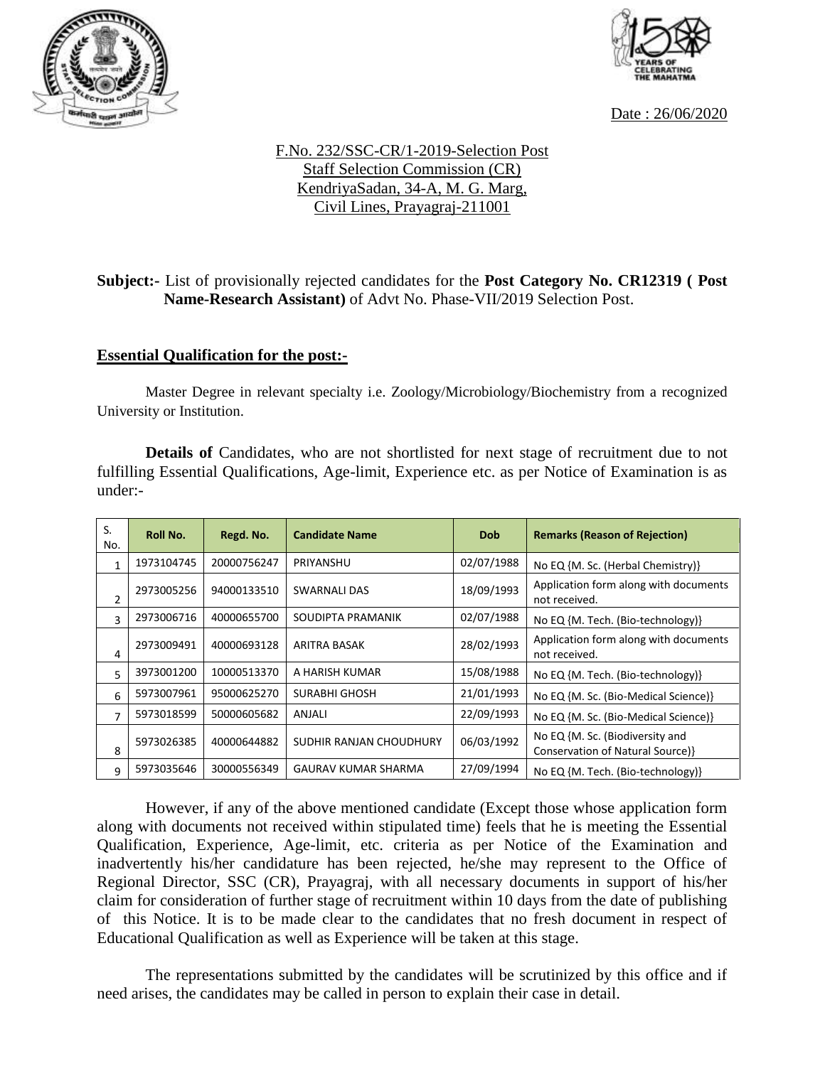



Date : 26/06/2020

## F.No. 232/SSC-CR/1-2019-Selection Post Staff Selection Commission (CR) KendriyaSadan, 34-A, M. G. Marg, Civil Lines, Prayagraj-211001

## **Subject:-** List of provisionally rejected candidates for the **Post Category No. CR12319 ( Post Name-Research Assistant)** of Advt No. Phase-VII/2019 Selection Post.

## **Essential Qualification for the post:-**

Master Degree in relevant specialty i.e. Zoology/Microbiology/Biochemistry from a recognized University or Institution.

**Details of** Candidates, who are not shortlisted for next stage of recruitment due to not fulfilling Essential Qualifications, Age-limit, Experience etc. as per Notice of Examination is as under:-

| S.<br>No.      | <b>Roll No.</b> | Regd. No.   | <b>Candidate Name</b>      | <b>Dob</b> | <b>Remarks (Reason of Rejection)</b>                                |
|----------------|-----------------|-------------|----------------------------|------------|---------------------------------------------------------------------|
| 1              | 1973104745      | 20000756247 | PRIYANSHU                  | 02/07/1988 | No EQ {M. Sc. (Herbal Chemistry)}                                   |
| $\overline{2}$ | 2973005256      | 94000133510 | <b>SWARNALI DAS</b>        | 18/09/1993 | Application form along with documents<br>not received.              |
| ς              | 2973006716      | 40000655700 | SOUDIPTA PRAMANIK          | 02/07/1988 | No EQ {M. Tech. (Bio-technology)}                                   |
| 4              | 2973009491      | 40000693128 | ARITRA BASAK               | 28/02/1993 | Application form along with documents<br>not received.              |
| 5              | 3973001200      | 10000513370 | A HARISH KUMAR             | 15/08/1988 | No EQ {M. Tech. (Bio-technology)}                                   |
| 6              | 5973007961      | 95000625270 | <b>SURABHI GHOSH</b>       | 21/01/1993 | No EQ {M. Sc. (Bio-Medical Science)}                                |
| 7              | 5973018599      | 50000605682 | ANJALI                     | 22/09/1993 | No EQ {M. Sc. (Bio-Medical Science)}                                |
| 8              | 5973026385      | 40000644882 | SUDHIR RANJAN CHOUDHURY    | 06/03/1992 | No EQ {M. Sc. (Biodiversity and<br>Conservation of Natural Source)} |
| 9              | 5973035646      | 30000556349 | <b>GAURAV KUMAR SHARMA</b> | 27/09/1994 | No EQ {M. Tech. (Bio-technology)}                                   |

However, if any of the above mentioned candidate (Except those whose application form along with documents not received within stipulated time) feels that he is meeting the Essential Qualification, Experience, Age-limit, etc. criteria as per Notice of the Examination and inadvertently his/her candidature has been rejected, he/she may represent to the Office of Regional Director, SSC (CR), Prayagraj, with all necessary documents in support of his/her claim for consideration of further stage of recruitment within 10 days from the date of publishing of this Notice. It is to be made clear to the candidates that no fresh document in respect of Educational Qualification as well as Experience will be taken at this stage.

The representations submitted by the candidates will be scrutinized by this office and if need arises, the candidates may be called in person to explain their case in detail.